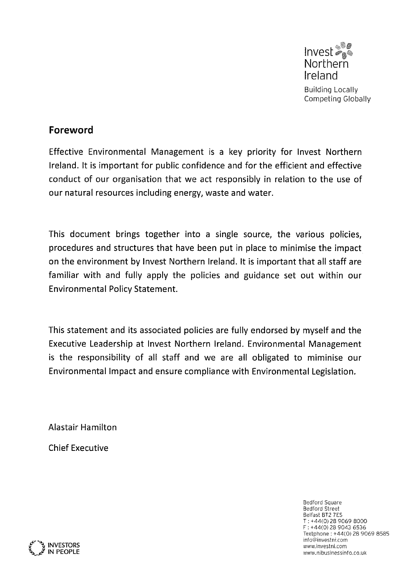Invest<sup>®</sup> **Northern** Ireland Building Locally Competing Globally

## Foreword

Effective Environmental Management is a key priority for Invest Northern Ireland. It is important for public confidence and for the efficient and effective conduct of our organisation that we act responsibly in relation to the use of our natural resources including energy, waste and water.

This document brings together into <sup>a</sup> single source, the various policies, procedures and structures that have been put in place to minimise the impact on the environment by Invest Northern Ireland. It is important that all staff are familiar with and fully apply the policies and guidance set out within our Environmental Policy Statement.

This statement and its associated policies are fully endorsed by myself and the Executive Leadership at Invest Northern Ireland. Environmental Management is the responsibility of all staff and we are all obligated to miminise our Environmental Impact and ensure compliance with Environmental Legislation.

Alastair Hamilton

Chief Executive

Bedford Square Bedford Street Belfast BT2 7E5 <sup>T</sup> +44(0) 28 9069 8000 <sup>F</sup> +44(0) 28 9043 6536 Textphone: +44(0) 28 9069 8585<br>info@investni.com info©investnLcom INVESTORS wwwinvestnLcom '' INVESTORS<br>IN PEOPLE WWW.nbusinessinfo.co.uk www.nibusinessinfo.co.uk